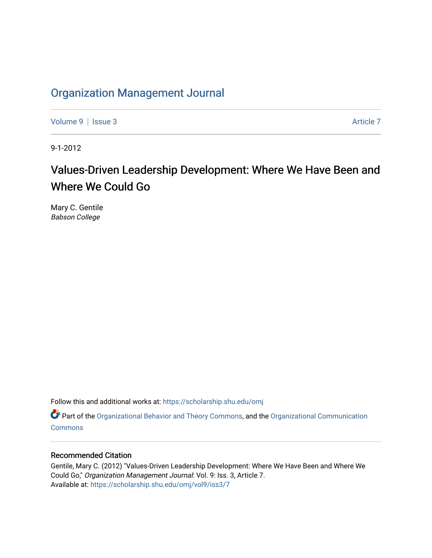# [Organization Management Journal](https://scholarship.shu.edu/omj)

[Volume 9](https://scholarship.shu.edu/omj/vol9) | [Issue 3](https://scholarship.shu.edu/omj/vol9/iss3) Article 7

9-1-2012

# Values-Driven Leadership Development: Where We Have Been and Where We Could Go

Mary C. Gentile Babson College

Follow this and additional works at: [https://scholarship.shu.edu/omj](https://scholarship.shu.edu/omj?utm_source=scholarship.shu.edu%2Fomj%2Fvol9%2Fiss3%2F7&utm_medium=PDF&utm_campaign=PDFCoverPages) 

Part of the [Organizational Behavior and Theory Commons,](http://network.bepress.com/hgg/discipline/639?utm_source=scholarship.shu.edu%2Fomj%2Fvol9%2Fiss3%2F7&utm_medium=PDF&utm_campaign=PDFCoverPages) and the [Organizational Communication](http://network.bepress.com/hgg/discipline/335?utm_source=scholarship.shu.edu%2Fomj%2Fvol9%2Fiss3%2F7&utm_medium=PDF&utm_campaign=PDFCoverPages) **[Commons](http://network.bepress.com/hgg/discipline/335?utm_source=scholarship.shu.edu%2Fomj%2Fvol9%2Fiss3%2F7&utm_medium=PDF&utm_campaign=PDFCoverPages)** 

# Recommended Citation

Gentile, Mary C. (2012) "Values-Driven Leadership Development: Where We Have Been and Where We Could Go," Organization Management Journal: Vol. 9: Iss. 3, Article 7. Available at: [https://scholarship.shu.edu/omj/vol9/iss3/7](https://scholarship.shu.edu/omj/vol9/iss3/7?utm_source=scholarship.shu.edu%2Fomj%2Fvol9%2Fiss3%2F7&utm_medium=PDF&utm_campaign=PDFCoverPages)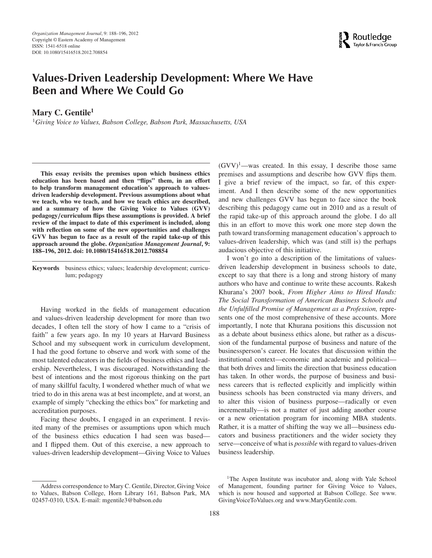

# **Values-Driven Leadership Development: Where We Have Been and Where We Could Go**

**Mary C. Gentile<sup>1</sup>**

<sup>1</sup>*Giving Voice to Values, Babson College, Babson Park, Massachusetts, USA*

**This essay revisits the premises upon which business ethics education has been based and then "flips" them, in an effort to help transform management education's approach to valuesdriven leadership development. Previous assumptions about what we teach, who we teach, and how we teach ethics are described, and a summary of how the Giving Voice to Values (GVV) pedagogy***/***curriculum flips these assumptions is provided. A brief review of the impact to date of this experiment is included, along with reflection on some of the new opportunities and challenges GVV has begun to face as a result of the rapid take-up of this approach around the globe.** *Organization Management Journal***, 9: 188–196, 2012. doi: 10.1080/15416518.2012.708854**

**Keywords** business ethics; values; leadership development; curriculum; pedagogy

Having worked in the fields of management education and values-driven leadership development for more than two decades, I often tell the story of how I came to a "crisis of faith" a few years ago. In my 10 years at Harvard Business School and my subsequent work in curriculum development, I had the good fortune to observe and work with some of the most talented educators in the fields of business ethics and leadership. Nevertheless, I was discouraged. Notwithstanding the best of intentions and the most rigorous thinking on the part of many skillful faculty, I wondered whether much of what we tried to do in this arena was at best incomplete, and at worst, an example of simply "checking the ethics box" for marketing and accreditation purposes.

Facing these doubts, I engaged in an experiment. I revisited many of the premises or assumptions upon which much of the business ethics education I had seen was based and I flipped them. Out of this exercise, a new approach to values-driven leadership development—Giving Voice to Values

 $(GVV)^1$ —was created. In this essay, I describe those same premises and assumptions and describe how GVV flips them. I give a brief review of the impact, so far, of this experiment. And I then describe some of the new opportunities and new challenges GVV has begun to face since the book describing this pedagogy came out in 2010 and as a result of the rapid take-up of this approach around the globe. I do all this in an effort to move this work one more step down the path toward transforming management education's approach to values-driven leadership, which was (and still is) the perhaps audacious objective of this initiative.

I won't go into a description of the limitations of valuesdriven leadership development in business schools to date, except to say that there is a long and strong history of many authors who have and continue to write these accounts. Rakesh Khurana's 2007 book, *From Higher Aims to Hired Hands: The Social Transformation of American Business Schools and the Unfulfilled Promise of Management as a Profession,* represents one of the most comprehensive of these accounts. More importantly, I note that Khurana positions this discussion not as a debate about business ethics alone, but rather as a discussion of the fundamental purpose of business and nature of the businessperson's career. He locates that discussion within the institutional context—economic and academic and political that both drives and limits the direction that business education has taken. In other words, the purpose of business and business careers that is reflected explicitly and implicitly within business schools has been constructed via many drivers, and to alter this vision of business purpose—radically or even incrementally—is not a matter of just adding another course or a new orientation program for incoming MBA students. Rather, it is a matter of shifting the way we all—business educators and business practitioners and the wider society they serve—conceive of what is *possible* with regard to values-driven business leadership.

Address correspondence to Mary C. Gentile, Director, Giving Voice to Values, Babson College, Horn Library 161, Babson Park, MA 02457-0310, USA. E-mail: mgentile3@babson.edu

<sup>&</sup>lt;sup>1</sup>The Aspen Institute was incubator and, along with Yale School of Management, founding partner for Giving Voice to Values, which is now housed and supported at Babson College. See www. GivingVoiceToValues.org and www.MaryGentile.com.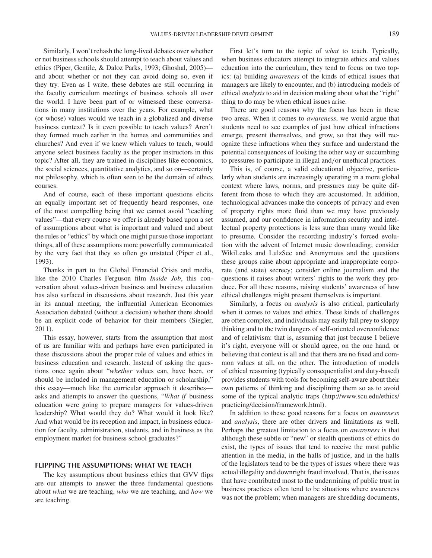Similarly, I won't rehash the long-lived debates over whether or not business schools should attempt to teach about values and ethics (Piper, Gentile, & Daloz Parks, 1993; Ghoshal, 2005) and about whether or not they can avoid doing so, even if they try. Even as I write, these debates are still occurring in the faculty curriculum meetings of business schools all over the world. I have been part of or witnessed these conversations in many institutions over the years. For example, what (or whose) values would we teach in a globalized and diverse business context? Is it even possible to teach values? Aren't they formed much earlier in the homes and communities and churches? And even if we knew which values to teach, would anyone select business faculty as the proper instructors in this topic? After all, they are trained in disciplines like economics, the social sciences, quantitative analytics, and so on—certainly not philosophy, which is often seen to be the domain of ethics courses.

And of course, each of these important questions elicits an equally important set of frequently heard responses, one of the most compelling being that we cannot avoid "teaching values"—that every course we offer is already based upon a set of assumptions about what is important and valued and about the rules or "ethics" by which one might pursue those important things, all of these assumptions more powerfully communicated by the very fact that they so often go unstated (Piper et al., 1993).

Thanks in part to the Global Financial Crisis and media, like the 2010 Charles Ferguson film *Inside Job*, this conversation about values-driven business and business education has also surfaced in discussions about research. Just this year in its annual meeting, the influential American Economics Association debated (without a decision) whether there should be an explicit code of behavior for their members (Siegler, 2011).

This essay, however, starts from the assumption that most of us are familiar with and perhaps have even participated in these discussions about the proper role of values and ethics in business education and research. Instead of asking the questions once again about "*whether* values can, have been, or should be included in management education or scholarship," this essay—much like the curricular approach it describes asks and attempts to answer the questions, "*What if* business education were going to prepare managers for values-driven leadership? What would they do? What would it look like? And what would be its reception and impact, in business education for faculty, administration, students, and in business as the employment market for business school graduates?"

#### **FLIPPING THE ASSUMPTIONS: WHAT WE TEACH**

The key assumptions about business ethics that GVV flips are our attempts to answer the three fundamental questions about *what* we are teaching, *who* we are teaching, and *how* we are teaching.

First let's turn to the topic of *what* to teach. Typically, when business educators attempt to integrate ethics and values education into the curriculum, they tend to focus on two topics: (a) building *awareness* of the kinds of ethical issues that managers are likely to encounter, and (b) introducing models of ethical *analysis* to aid in decision making about what the "right" thing to do may be when ethical issues arise.

There are good reasons why the focus has been in these two areas. When it comes to *awareness*, we would argue that students need to see examples of just how ethical infractions emerge, present themselves, and grow, so that they will recognize these infractions when they surface and understand the potential consequences of looking the other way or succumbing to pressures to participate in illegal and*/*or unethical practices.

This is, of course, a valid educational objective, particularly when students are increasingly operating in a more global context where laws, norms, and pressures may be quite different from those to which they are accustomed. In addition, technological advances make the concepts of privacy and even of property rights more fluid than we may have previously assumed, and our confidence in information security and intellectual property protections is less sure than many would like to presume. Consider the recording industry's forced evolution with the advent of Internet music downloading; consider WikiLeaks and LulzSec and Anonymous and the questions these groups raise about appropriate and inappropriate corporate (and state) secrecy; consider online journalism and the questions it raises about writers' rights to the work they produce. For all these reasons, raising students' awareness of how ethical challenges might present themselves is important.

Similarly, a focus on *analysis* is also critical, particularly when it comes to values and ethics. These kinds of challenges are often complex, and individuals may easily fall prey to sloppy thinking and to the twin dangers of self-oriented overconfidence and of relativism: that is, assuming that just because I believe it's right, everyone will or should agree, on the one hand, or believing that context is all and that there are no fixed and common values at all, on the other. The introduction of models of ethical reasoning (typically consequentialist and duty-based) provides students with tools for becoming self-aware about their own patterns of thinking and disciplining them so as to avoid some of the typical analytic traps (http://www.scu.edu/ethics/ practicing/decision/framework.html).

In addition to these good reasons for a focus on *awareness* and *analysis*, there are other drivers and limitations as well. Perhaps the greatest limitation to a focus on *awareness* is that although these subtle or "new" or stealth questions of ethics do exist, the types of issues that tend to receive the most public attention in the media, in the halls of justice, and in the halls of the legislators tend to be the types of issues where there was actual illegality and downright fraud involved. That is, the issues that have contributed most to the undermining of public trust in business practices often tend to be situations where awareness was not the problem; when managers are shredding documents,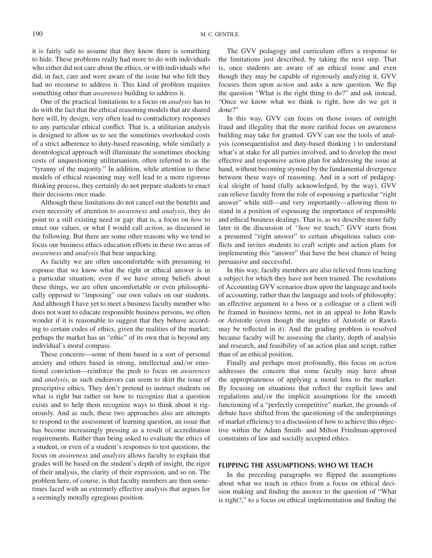it is fairly safe to assume that they know there is something to hide. These problems really had more to do with individuals who either did not care about the ethics, or with individuals who did, in fact, care and were aware of the issue but who felt they had no recourse to address it. This kind of problem requires something other than *awareness* building to address it.

One of the practical limitations to a focus on *analysis* has to do with the fact that the ethical reasoning models that are shared here will, by design, very often lead to contradictory responses to any particular ethical conflict. That is, a utilitarian analysis is designed to allow us to see the sometimes overlooked costs of a strict adherence to duty-based reasoning, while similarly a deontological approach will illuminate the sometimes shocking costs of unquestioning utilitarianism, often referred to as the "tyranny of the majority." In addition, while attention to these models of ethical reasoning may well lead to a more rigorous thinking process, they certainly do not prepare students to enact their decisions once made.

Although these limitations do not cancel out the benefits and even necessity of attention to *awareness* and *analysis*, they do point to a still existing need or gap: that is, a focus on *how* to enact our values, or what I would call *action*, as discussed in the following. But there are some other reasons why we tend to focus our business ethics education efforts in these two areas of *awareness* and *analysis* that bear unpacking.

As faculty we are often uncomfortable with presuming to espouse that we know what the right or ethical answer is in a particular situation; even if we have strong beliefs about these things, we are often uncomfortable or even philosophically opposed to "imposing" our own values on our students. And although I have yet to meet a business faculty member who does not want to educate responsible business persons, we often wonder if it is reasonable to suggest that they behave according to certain codes of ethics, given the realities of the market; perhaps the market has an "ethic" of its own that is beyond any individual's moral compass.

These concerns—some of them based in a sort of personal anxiety and others based in strong, intellectual and*/*or emotional conviction—reinforce the push to focus on *awareness* and *analysis*, as such endeavors can seem to skirt the issue of prescriptive ethics. They don't pretend to instruct students on what is right but rather on how to recognize that a question exists and to help them recognize ways to think about it rigorously. And as such, these two approaches also are attempts to respond to the assessment of learning question, an issue that has become increasingly pressing as a result of accreditation requirements. Rather than being asked to evaluate the ethics of a student, or even of a student's responses to test questions, the focus on *awareness* and *analysis* allows faculty to explain that grades will be based on the student's depth of insight, the rigor of their analysis, the clarity of their expression, and so on. The problem here, of course, is that faculty members are then sometimes faced with an extremely effective analysis that argues for a seemingly morally egregious position.

The GVV pedagogy and curriculum offers a response to the limitations just described, by taking the next step. That is, once students are aware of an ethical issue and even though they may be capable of rigorously analyzing it, GVV focuses them upon *action* and asks a new question. We flip the question "What is the right thing to do?" and ask instead, "Once we know what we think is right, how do we get it done?"

In this way, GVV can focus on those issues of outright fraud and illegality that the more rarified focus on awareness building may take for granted. GVV can use the tools of analysis (consequentialist and duty-based thinking ) to understand what's at stake for all parties involved, and to develop the most effective and responsive action plan for addressing the issue at hand, without becoming stymied by the fundamental divergence between these ways of reasoning. And in a sort of pedagogical sleight of hand (fully acknowledged, by the way), GVV can relieve faculty from the role of espousing a particular "right answer" while still—and very importantly—allowing them to stand in a position of espousing the importance of responsible and ethical business dealings. That is, as we describe more fully later in the discussion of *"how* we teach," GVV starts from a presumed "right answer" to certain ubiquitous values conflicts and invites students to craft scripts and action plans for implementing this "answer" that have the best chance of being persuasive and successful.

In this way, faculty members are also relieved from teaching a subject for which they have not been trained. The resolutions of Accounting GVV scenarios draw upon the language and tools of accounting, rather than the language and tools of philosophy; an effective argument to a boss or a colleague or a client will be framed in business terms, not in an appeal to John Rawls or Aristotle (even though the insights of Aristotle or Rawls may be reflected in it). And the grading problem is resolved because faculty will be assessing the clarity, depth of analysis and research, and feasibility of an action plan and script, rather than of an ethical position.

Finally and perhaps most profoundly, this focus on *action* addresses the concern that some faculty may have about the appropriateness of applying a moral lens to the market. By focusing on situations that reflect the explicit laws and regulations and*/*or the implicit assumptions for the smooth functioning of a "perfectly competitive" market, the grounds of debate have shifted from the questioning of the underpinnings of market efficiency to a discussion of how to achieve this objective within the Adam Smith- and Milton Friedman-approved constraints of law and socially accepted ethics.

## **FLIPPING THE ASSUMPTIONS: WHO WE TEACH**

In the preceding paragraphs we flipped the assumptions about what we teach in ethics from a focus on ethical decision making and finding the answer to the question of "What is right?," to a focus on ethical implementation and finding the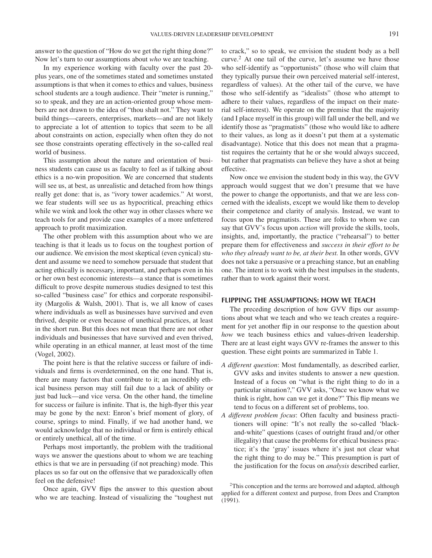answer to the question of "How do we get the right thing done?" Now let's turn to our assumptions about *who* we are teaching.

In my experience working with faculty over the past 20 plus years, one of the sometimes stated and sometimes unstated assumptions is that when it comes to ethics and values, business school students are a tough audience. Their "meter is running," so to speak, and they are an action-oriented group whose members are not drawn to the idea of "thou shalt not." They want to build things—careers, enterprises, markets—and are not likely to appreciate a lot of attention to topics that seem to be all about constraints on action, especially when often they do not see those constraints operating effectively in the so-called real world of business.

This assumption about the nature and orientation of business students can cause us as faculty to feel as if talking about ethics is a no-win proposition. We are concerned that students will see us, at best, as unrealistic and detached from how things really get done: that is, as "ivory tower academics." At worst, we fear students will see us as hypocritical, preaching ethics while we wink and look the other way in other classes where we teach tools for and provide case examples of a more unfettered approach to profit maximization.

The other problem with this assumption about who we are teaching is that it leads us to focus on the toughest portion of our audience. We envision the most skeptical (even cynical) student and assume we need to somehow persuade that student that acting ethically is necessary, important, and perhaps even in his or her own best economic interests—a stance that is sometimes difficult to prove despite numerous studies designed to test this so-called "business case" for ethics and corporate responsibility (Margolis & Walsh, 2001). That is, we all know of cases where individuals as well as businesses have survived and even thrived, despite or even because of unethical practices, at least in the short run. But this does not mean that there are not other individuals and businesses that have survived and even thrived, while operating in an ethical manner, at least most of the time (Vogel, 2002).

The point here is that the relative success or failure of individuals and firms is overdetermined, on the one hand. That is, there are many factors that contribute to it; an incredibly ethical business person may still fail due to a lack of ability or just bad luck—and vice versa. On the other hand, the timeline for success or failure is infinite. That is, the high-flyer this year may be gone by the next: Enron's brief moment of glory, of course, springs to mind. Finally, if we had another hand, we would acknowledge that no individual or firm is entirely ethical or entirely unethical, all of the time.

Perhaps most importantly, the problem with the traditional ways we answer the questions about to whom we are teaching ethics is that we are in persuading (if not preaching) mode. This places us so far out on the offensive that we paradoxically often feel on the defensive!

Once again, GVV flips the answer to this question about who we are teaching. Instead of visualizing the "toughest nut

to crack," so to speak, we envision the student body as a bell curve.<sup>2</sup> At one tail of the curve, let's assume we have those who self-identify as "opportunists" (those who will claim that they typically pursue their own perceived material self-interest, regardless of values). At the other tail of the curve, we have those who self-identify as "idealists" (those who attempt to adhere to their values, regardless of the impact on their material self-interest). We operate on the premise that the majority (and I place myself in this group) will fall under the bell, and we identify those as "pragmatists" (those who would like to adhere to their values, as long as it doesn't put them at a systematic disadvantage). Notice that this does not mean that a pragmatist requires the certainty that he or she would always succeed, but rather that pragmatists can believe they have a shot at being effective.

Now once we envision the student body in this way, the GVV approach would suggest that we don't presume that we have the power to change the opportunists, and that we are less concerned with the idealists, except we would like them to develop their competence and clarity of analysis. Instead, we want to focus upon the pragmatists. These are folks to whom we can say that GVV's focus upon *action* will provide the skills, tools, insights, and, importantly, the practice ("rehearsal") to better prepare them for effectiveness and *success in their effort to be who they already want to be, at their best.* In other words, GVV does not take a persuasive or a preaching stance, but an enabling one. The intent is to work with the best impulses in the students, rather than to work against their worst.

## **FLIPPING THE ASSUMPTIONS: HOW WE TEACH**

The preceding description of how GVV flips our assumptions about what we teach and who we teach creates a requirement for yet another flip in our response to the question about *how* we teach business ethics and values-driven leadership. There are at least eight ways GVV re-frames the answer to this question. These eight points are summarized in Table 1.

- *A different question*: Most fundamentally, as described earlier, GVV asks and invites students to answer a new question. Instead of a focus on "what is the right thing to do in a particular situation?," GVV asks, "Once we know what we think is right, how can we get it done?" This flip means we tend to focus on a different set of problems, too.
- *A different problem focus*: Often faculty and business practitioners will opine: "It's not really the so-called 'blackand-white" questions (cases of outright fraud and*/*or other illegality) that cause the problems for ethical business practice; it's the 'gray' issues where it's just not clear what the right thing to do may be." This presumption is part of the justification for the focus on *analysis* described earlier,

<sup>&</sup>lt;sup>2</sup>This conception and the terms are borrowed and adapted, although applied for a different context and purpose, from Dees and Crampton (1991).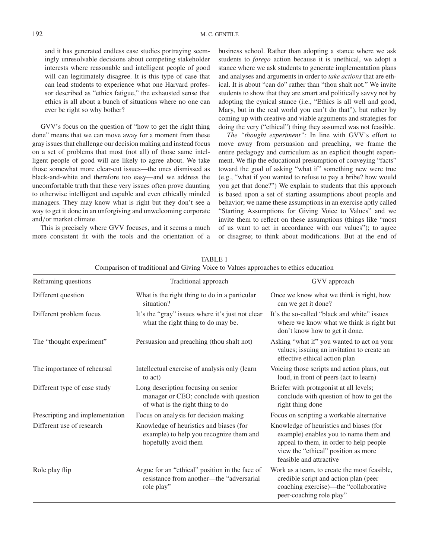and it has generated endless case studies portraying seemingly unresolvable decisions about competing stakeholder interests where reasonable and intelligent people of good will can legitimately disagree. It is this type of case that can lead students to experience what one Harvard professor described as "ethics fatigue," the exhausted sense that ethics is all about a bunch of situations where no one can ever be right so why bother?

GVV's focus on the question of "how to get the right thing done" means that we can move away for a moment from these gray issues that challenge our decision making and instead focus on a set of problems that most (not all) of those same intelligent people of good will are likely to agree about. We take those somewhat more clear-cut issues—the ones dismissed as black-and-white and therefore too easy—and we address the uncomfortable truth that these very issues often prove daunting to otherwise intelligent and capable and even ethically minded managers. They may know what is right but they don't see a way to get it done in an unforgiving and unwelcoming corporate and*/*or market climate.

This is precisely where GVV focuses, and it seems a much more consistent fit with the tools and the orientation of a business school. Rather than adopting a stance where we ask students to *forego* action because it is unethical, we adopt a stance where we ask students to generate implementation plans and analyses and arguments in order to *take actions* that are ethical. It is about "can do" rather than "thou shalt not." We invite students to show that they are smart and politically savvy not by adopting the cynical stance (i.e., "Ethics is all well and good, Mary, but in the real world you can't do that"), but rather by coming up with creative and viable arguments and strategies for doing the very ("ethical") thing they assumed was not feasible.

*The "thought experiment":* In line with GVV's effort to move away from persuasion and preaching, we frame the entire pedagogy and curriculum as an explicit thought experiment. We flip the educational presumption of conveying "facts" toward the goal of asking "what if" something new were true (e.g., "what if you wanted to refuse to pay a bribe? how would you get that done?") We explain to students that this approach is based upon a set of starting assumptions about people and behavior; we name these assumptions in an exercise aptly called "Starting Assumptions for Giving Voice to Values" and we invite them to reflect on these assumptions (things like "most of us want to act in accordance with our values"); to agree or disagree; to think about modifications. But at the end of

| Reframing questions             | Traditional approach                                                                                              | GVV approach                                                                                                                                                                                  |
|---------------------------------|-------------------------------------------------------------------------------------------------------------------|-----------------------------------------------------------------------------------------------------------------------------------------------------------------------------------------------|
| Different question              | What is the right thing to do in a particular<br>situation?                                                       | Once we know what we think is right, how<br>can we get it done?                                                                                                                               |
| Different problem focus         | It's the "gray" issues where it's just not clear<br>what the right thing to do may be.                            | It's the so-called "black and white" issues<br>where we know what we think is right but<br>don't know how to get it done.                                                                     |
| The "thought experiment"        | Persuasion and preaching (thou shalt not)                                                                         | Asking "what if" you wanted to act on your<br>values; issuing an invitation to create an<br>effective ethical action plan                                                                     |
| The importance of rehearsal     | Intellectual exercise of analysis only (learn<br>to act)                                                          | Voicing those scripts and action plans, out<br>loud, in front of peers (act to learn)                                                                                                         |
| Different type of case study    | Long description focusing on senior<br>manager or CEO; conclude with question<br>of what is the right thing to do | Briefer with protagonist at all levels;<br>conclude with question of how to get the<br>right thing done                                                                                       |
| Prescripting and implementation | Focus on analysis for decision making                                                                             | Focus on scripting a workable alternative                                                                                                                                                     |
| Different use of research       | Knowledge of heuristics and biases (for<br>example) to help you recognize them and<br>hopefully avoid them        | Knowledge of heuristics and biases (for<br>example) enables you to name them and<br>appeal to them, in order to help people<br>view the "ethical" position as more<br>feasible and attractive |
| Role play flip                  | Argue for an "ethical" position in the face of<br>resistance from another—the "adversarial"<br>role play"         | Work as a team, to create the most feasible,<br>credible script and action plan (peer<br>coaching exercise)-the "collaborative<br>peer-coaching role play"                                    |

TABLE 1 Comparison of traditional and Giving Voice to Values approaches to ethics education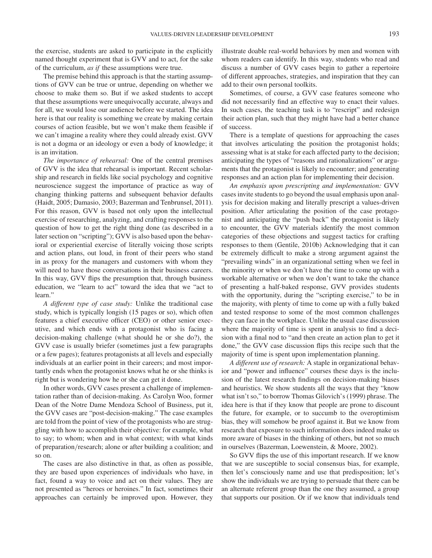the exercise, students are asked to participate in the explicitly named thought experiment that is GVV and to act, for the sake of the curriculum, *as if* these assumptions were true.

The premise behind this approach is that the starting assumptions of GVV can be true or untrue, depending on whether we choose to make them so. But if we asked students to accept that these assumptions were unequivocally accurate, always and for all, we would lose our audience before we started. The idea here is that our reality is something we create by making certain courses of action feasible, but we won't make them feasible if we can't imagine a reality where they could already exist. GVV is not a dogma or an ideology or even a body of knowledge; it is an invitation.

*The importance of rehearsal:* One of the central premises of GVV is the idea that rehearsal is important. Recent scholarship and research in fields like social psychology and cognitive neuroscience suggest the importance of practice as way of changing thinking patterns and subsequent behavior defaults (Haidt, 2005; Damasio, 2003; Bazerman and Tenbrunsel, 2011). For this reason, GVV is based not only upon the intellectual exercise of researching, analyzing, and crafting responses to the question of how to get the right thing done (as described in a later section on "scripting"); GVV is also based upon the behavioral or experiential exercise of literally voicing those scripts and action plans, out loud, in front of their peers who stand in as proxy for the managers and customers with whom they will need to have those conversations in their business careers. In this way, GVV flips the presumption that, through business education, we "learn to act" toward the idea that we "act to learn."

*A different type of case study:* Unlike the traditional case study, which is typically longish (15 pages or so), which often features a chief executive officer (CEO) or other senior executive, and which ends with a protagonist who is facing a decision-making challenge (what should he or she do?), the GVV case is usually briefer (sometimes just a few paragraphs or a few pages); features protagonists at all levels and especially individuals at an earlier point in their careers; and most importantly ends when the protagonist knows what he or she thinks is right but is wondering how he or she can get it done.

In other words, GVV cases present a challenge of implementation rather than of decision-making. As Carolyn Woo, former Dean of the Notre Dame Mendoza School of Business, put it, the GVV cases are "post-decision-making." The case examples are told from the point of view of the protagonists who are struggling with how to accomplish their objective: for example, what to say; to whom; when and in what context; with what kinds of preparation*/*research; alone or after building a coalition; and so on.

The cases are also distinctive in that, as often as possible, they are based upon experiences of individuals who have, in fact, found a way to voice and act on their values. They are not presented as "heroes or heroines." In fact, sometimes their approaches can certainly be improved upon. However, they

illustrate doable real-world behaviors by men and women with whom readers can identify. In this way, students who read and discuss a number of GVV cases begin to gather a repertoire of different approaches, strategies, and inspiration that they can add to their own personal toolkits.

Sometimes, of course, a GVV case features someone who did not necessarily find an effective way to enact their values. In such cases, the teaching task is to "rescript" and redesign their action plan, such that they might have had a better chance of success.

There is a template of questions for approaching the cases that involves articulating the position the protagonist holds; assessing what is at stake for each affected party to the decision; anticipating the types of "reasons and rationalizations" or arguments that the protagonist is likely to encounter; and generating responses and an action plan for implementing their decision.

*An emphasis upon prescripting and implementation:* GVV cases invite students to go beyond the usual emphasis upon analysis for decision making and literally prescript a values-driven position. After articulating the position of the case protagonist and anticipating the "push back" the protagonist is likely to encounter, the GVV materials identify the most common categories of these objections and suggest tactics for crafting responses to them (Gentile, 2010b) Acknowledging that it can be extremely difficult to make a strong argument against the "prevailing winds" in an organizational setting when we feel in the minority or when we don't have the time to come up with a workable alternative or when we don't want to take the chance of presenting a half-baked response, GVV provides students with the opportunity, during the "scripting exercise," to be in the majority, with plenty of time to come up with a fully baked and tested response to some of the most common challenges they can face in the workplace. Unlike the usual case discussion where the majority of time is spent in analysis to find a decision with a final nod to "and then create an action plan to get it done," the GVV case discussion flips this recipe such that the majority of time is spent upon implementation planning.

*A different use of research:* A staple in organizational behavior and "power and influence" courses these days is the inclusion of the latest research findings on decision-making biases and heuristics. We show students all the ways that they "know what isn't so," to borrow Thomas Gilovich's (1999) phrase. The idea here is that if they know that people are prone to discount the future, for example, or to succumb to the overoptimism bias, they will somehow be proof against it. But we know from research that exposure to such information does indeed make us more aware of biases in the thinking of others, but not so much in ourselves (Bazerman, Loewenstein, & Moore, 2002).

So GVV flips the use of this important research. If we know that we are susceptible to social consensus bias, for example, then let's consciously name and use that predisposition; let's show the individuals we are trying to persuade that there can be an alternate referent group than the one they assumed, a group that supports our position. Or if we know that individuals tend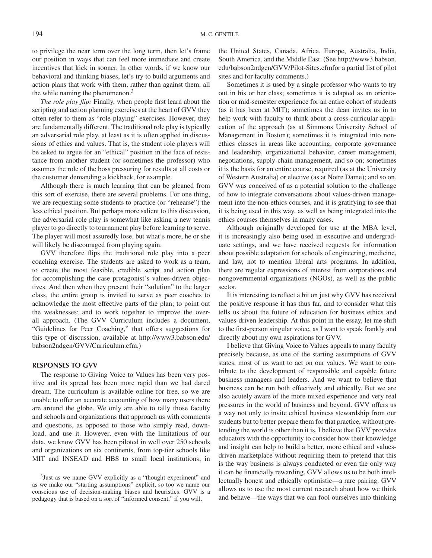to privilege the near term over the long term, then let's frame our position in ways that can feel more immediate and create incentives that kick in sooner. In other words, if we know our behavioral and thinking biases, let's try to build arguments and action plans that work with them, rather than against them, all the while naming the phenomenon.<sup>3</sup>

*The role play flip:* Finally, when people first learn about the scripting and action planning exercises at the heart of GVV they often refer to them as "role-playing" exercises. However, they are fundamentally different. The traditional role play is typically an adversarial role play, at least as it is often applied in discussions of ethics and values. That is, the student role players will be asked to argue for an "ethical" position in the face of resistance from another student (or sometimes the professor) who assumes the role of the boss pressuring for results at all costs or the customer demanding a kickback, for example.

Although there is much learning that can be gleaned from this sort of exercise, there are several problems. For one thing, we are requesting some students to practice (or "rehearse") the less ethical position. But perhaps more salient to this discussion, the adversarial role play is somewhat like asking a new tennis player to go directly to tournament play before learning to serve. The player will most assuredly lose, but what's more, he or she will likely be discouraged from playing again.

GVV therefore flips the traditional role play into a peer coaching exercise. The students are asked to work as a team, to create the most feasible, credible script and action plan for accomplishing the case protagonist's values-driven objectives. And then when they present their "solution" to the larger class, the entire group is invited to serve as peer coaches to acknowledge the most effective parts of the plan; to point out the weaknesses; and to work together to improve the overall approach. (The GVV Curriculum includes a document, "Guidelines for Peer Coaching," that offers suggestions for this type of discussion, available at http://www3.babson.edu/ babson2ndgen/GVV/Curriculum.cfm.)

#### **RESPONSES TO GVV**

The response to Giving Voice to Values has been very positive and its spread has been more rapid than we had dared dream. The curriculum is available online for free, so we are unable to offer an accurate accounting of how many users there are around the globe. We only are able to tally those faculty and schools and organizations that approach us with comments and questions, as opposed to those who simply read, download, and use it. However, even with the limitations of our data, we know GVV has been piloted in well over 250 schools and organizations on six continents, from top-tier schools like MIT and INSEAD and HBS to small local institutions; in

3Just as we name GVV explicitly as a "thought experiment" and as we make our "starting assumptions" explicit, so too we name our conscious use of decision-making biases and heuristics. GVV is a pedagogy that is based on a sort of "informed consent," if you will.

the United States, Canada, Africa, Europe, Australia, India, South America, and the Middle East. (See http://www3.babson. edu/babson2ndgen/GVV/Pilot-Sites.cfmfor a partial list of pilot sites and for faculty comments.)

Sometimes it is used by a single professor who wants to try out in his or her class; sometimes it is adapted as an orientation or mid-semester experience for an entire cohort of students (as it has been at MIT); sometimes the dean invites us in to help work with faculty to think about a cross-curricular application of the approach (as at Simmons University School of Management in Boston); sometimes it is integrated into nonethics classes in areas like accounting, corporate governance and leadership, organizational behavior, career management, negotiations, supply-chain management, and so on; sometimes it is the basis for an entire course, required (as at the University of Western Australia) or elective (as at Notre Dame); and so on. GVV was conceived of as a potential solution to the challenge of how to integrate conversations about values-driven management into the non-ethics courses, and it is gratifying to see that it is being used in this way, as well as being integrated into the ethics courses themselves in many cases.

Although originally developed for use at the MBA level, it is increasingly also being used in executive and undergraduate settings, and we have received requests for information about possible adaptation for schools of engineering, medicine, and law, not to mention liberal arts programs. In addition, there are regular expressions of interest from corporations and nongovernmental organizations (NGOs), as well as the public sector.

It is interesting to reflect a bit on just why GVV has received the positive response it has thus far, and to consider what this tells us about the future of education for business ethics and values-driven leadership. At this point in the essay, let me shift to the first-person singular voice, as I want to speak frankly and directly about my own aspirations for GVV.

I believe that Giving Voice to Values appeals to many faculty precisely because, as one of the starting assumptions of GVV states, most of us want to act on our values. We want to contribute to the development of responsible and capable future business managers and leaders. And we want to believe that business can be run both effectively and ethically. But we are also acutely aware of the more mixed experience and very real pressures in the world of business and beyond. GVV offers us a way not only to invite ethical business stewardship from our students but to better prepare them for that practice, without pretending the world is other than it is. I believe that GVV provides educators with the opportunity to consider how their knowledge and insight can help to build a better, more ethical and valuesdriven marketplace without requiring them to pretend that this is the way business is always conducted or even the only way it can be financially rewarding. GVV allows us to be both intellectually honest and ethically optimistic—a rare pairing. GVV allows us to use the most current research about how we think and behave—the ways that we can fool ourselves into thinking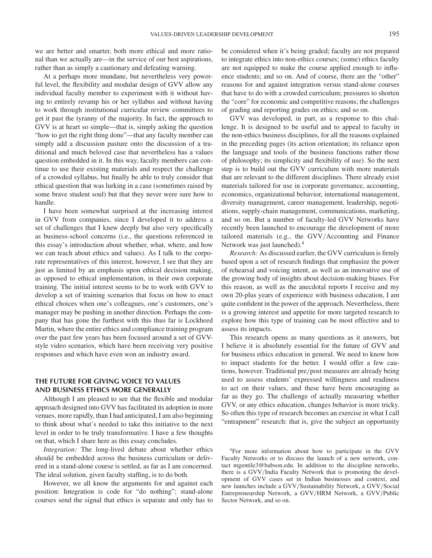we are better and smarter, both more ethical and more rational than we actually are—in the service of our best aspirations, rather than as simply a cautionary and defeating warning.

At a perhaps more mundane, but nevertheless very powerful level, the flexibility and modular design of GVV allow any individual faculty member to experiment with it without having to entirely revamp his or her syllabus and without having to work through institutional curricular review committees to get it past the tyranny of the majority. In fact, the approach to GVV is at heart so simple—that is, simply asking the question "how to get the right thing done"—that any faculty member can simply add a discussion pasture onto the discussion of a traditional and much beloved case that nevertheless has a values question embedded in it. In this way, faculty members can continue to use their existing materials and respect the challenge of a crowded syllabus, but finally be able to truly consider that ethical question that was lurking in a case (sometimes raised by some brave student soul) but that they never were sure how to handle.

I have been somewhat surprised at the increasing interest in GVV from companies, since I developed it to address a set of challenges that I knew deeply but also very specifically as business-school concerns (i.e., the questions referenced in this essay's introduction about whether, what, where, and how we can teach about ethics and values). As I talk to the corporate representatives of this interest, however, I see that they are just as limited by an emphasis upon ethical decision making, as opposed to ethical implementation, in their own corporate training. The initial interest seems to be to work with GVV to develop a set of training scenarios that focus on how to enact ethical choices when one's colleagues, one's customers, one's manager may be pushing in another direction. Perhaps the company that has gone the furthest with this thus far is Lockheed Martin, where the entire ethics and compliance training program over the past few years has been focused around a set of GVVstyle video scenarios, which have been receiving very positive responses and which have even won an industry award.

## **THE FUTURE FOR GIVING VOICE TO VALUES AND BUSINESS ETHICS MORE GENERALLY**

Although I am pleased to see that the flexible and modular approach designed into GVV has facilitated its adoption in more venues, more rapidly, than I had anticipated, I am also beginning to think about what's needed to take this initiative to the next level in order to be truly transformative. I have a few thoughts on that, which I share here as this essay concludes.

*Integration:* The long-lived debate about whether ethics should be embedded across the business curriculum or delivered in a stand-alone course is settled, as far as I am concerned. The ideal solution, given faculty staffing, is to do both.

However, we all know the arguments for and against each position: Integration is code for "do nothing"; stand-alone courses send the signal that ethics is separate and only has to be considered when it's being graded; faculty are not prepared to integrate ethics into non-ethics courses; (some) ethics faculty are not equipped to make the course applied enough to influence students; and so on. And of course, there are the "other" reasons for and against integration versus stand-alone courses that have to do with a crowded curriculum; pressures to shorten the "core" for economic and competitive reasons; the challenges of grading and reporting grades on ethics; and so on.

GVV was developed, in part, as a response to this challenge. It is designed to be useful and to appeal to faculty in the non-ethics business disciplines, for all the reasons explained in the preceding pages (its action orientation; its reliance upon the language and tools of the business functions rather those of philosophy; its simplicity and flexibility of use). So the next step is to build out the GVV curriculum with more materials that are relevant to the different disciplines. There already exist materials tailored for use in corporate governance, accounting, economics, organizational behavior, international management, diversity management, career management, leadership, negotiations, supply-chain management, communications, marketing, and so on. But a number of faculty-led GVV Networks have recently been launched to encourage the development of more tailored materials (e.g., the GVV*/*Accounting and Finance Network was just launched).<sup>4</sup>

*Research:* As discussed earlier, the GVV curriculum is firmly based upon a set of research findings that emphasize the power of rehearsal and voicing intent, as well as an innovative use of the growing body of insights about decision-making biases. For this reason, as well as the anecdotal reports I receive and my own 20-plus years of experience with business education, I am quite confident in the power of the approach. Nevertheless, there is a growing interest and appetite for more targeted research to explore how this type of training can be most effective and to assess its impacts.

This research opens as many questions as it answers, but I believe it is absolutely essential for the future of GVV and for business ethics education in general. We need to know how to impact students for the better. I would offer a few cautions, however. Traditional pre*/*post measures are already being used to assess students' expressed willingness and readiness to act on their values, and these have been encouraging as far as they go. The challenge of actually measuring whether GVV, or any ethics education, changes behavior is more tricky. So often this type of research becomes an exercise in what I call "entrapment" research: that is, give the subject an opportunity

4For more information about how to participate in the GVV Faculty Networks or to discuss the launch of a new network, contact mgentile3@babson.edu. In addition to the discipline networks, there is a GVV*/*India Faculty Network that is promoting the development of GVV cases set in Indian businesses and context, and new launches include a GVV*/*Sustainability Network, a GVV*/*Social Entrepreneurship Network, a GVV*/*HRM Network, a GVV*/*Public Sector Network, and so on.